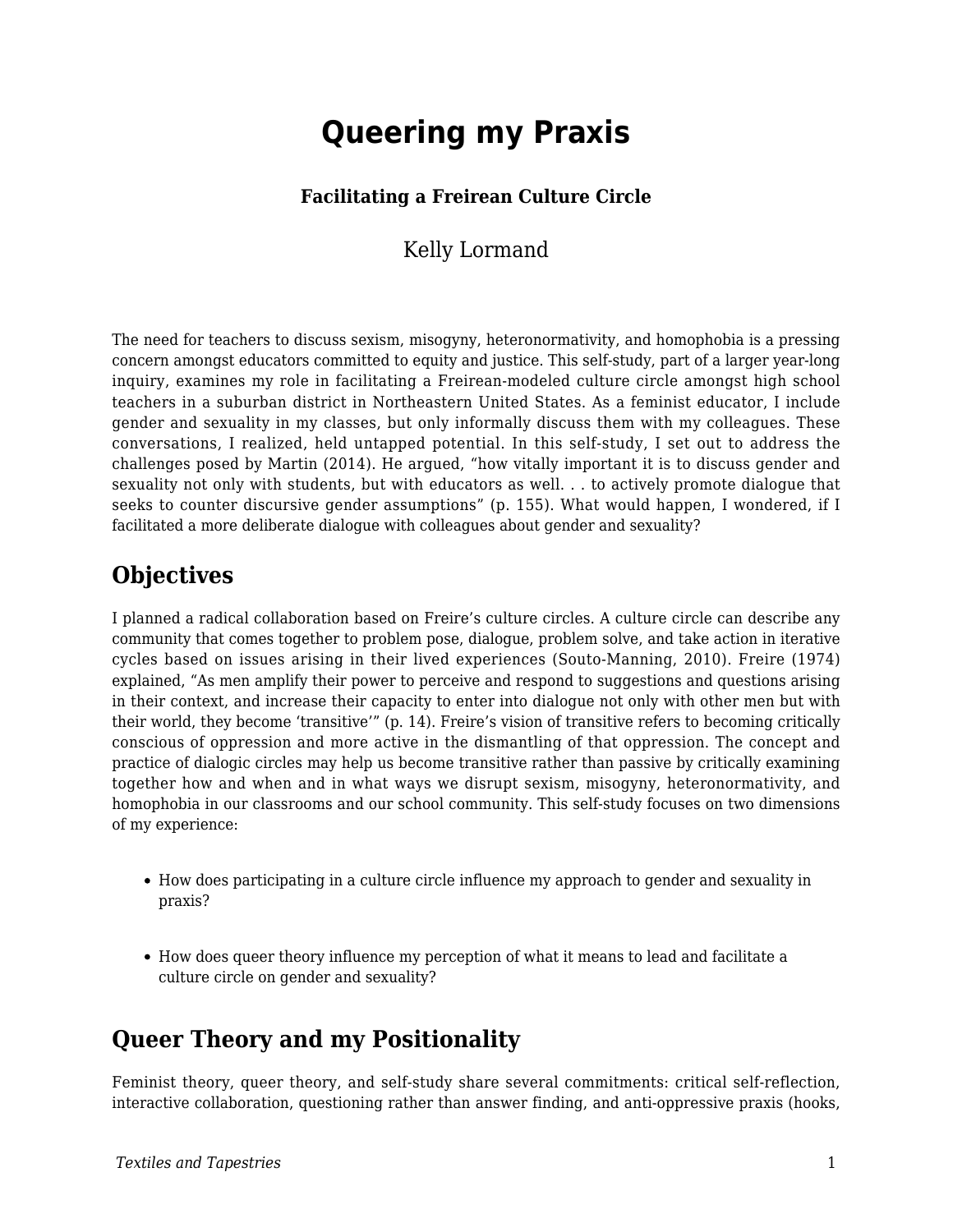# **Queering my Praxis**

#### **Facilitating a Freirean Culture Circle**

#### Kelly Lormand

The need for teachers to discuss sexism, misogyny, heteronormativity, and homophobia is a pressing concern amongst educators committed to equity and justice. This self-study, part of a larger year-long inquiry, examines my role in facilitating a Freirean-modeled culture circle amongst high school teachers in a suburban district in Northeastern United States. As a feminist educator, I include gender and sexuality in my classes, but only informally discuss them with my colleagues. These conversations, I realized, held untapped potential. In this self-study, I set out to address the challenges posed by Martin (2014). He argued, "how vitally important it is to discuss gender and sexuality not only with students, but with educators as well. . . to actively promote dialogue that seeks to counter discursive gender assumptions" (p. 155). What would happen, I wondered, if I facilitated a more deliberate dialogue with colleagues about gender and sexuality?

### **Objectives**

I planned a radical collaboration based on Freire's culture circles. A culture circle can describe any community that comes together to problem pose, dialogue, problem solve, and take action in iterative cycles based on issues arising in their lived experiences (Souto-Manning, 2010). Freire (1974) explained, "As men amplify their power to perceive and respond to suggestions and questions arising in their context, and increase their capacity to enter into dialogue not only with other men but with their world, they become 'transitive'" (p. 14). Freire's vision of transitive refers to becoming critically conscious of oppression and more active in the dismantling of that oppression. The concept and practice of dialogic circles may help us become transitive rather than passive by critically examining together how and when and in what ways we disrupt sexism, misogyny, heteronormativity, and homophobia in our classrooms and our school community. This self-study focuses on two dimensions of my experience:

- How does participating in a culture circle influence my approach to gender and sexuality in praxis?
- How does queer theory influence my perception of what it means to lead and facilitate a culture circle on gender and sexuality?

### **Queer Theory and my Positionality**

Feminist theory, queer theory, and self-study share several commitments: critical self-reflection, interactive collaboration, questioning rather than answer finding, and anti-oppressive praxis (hooks,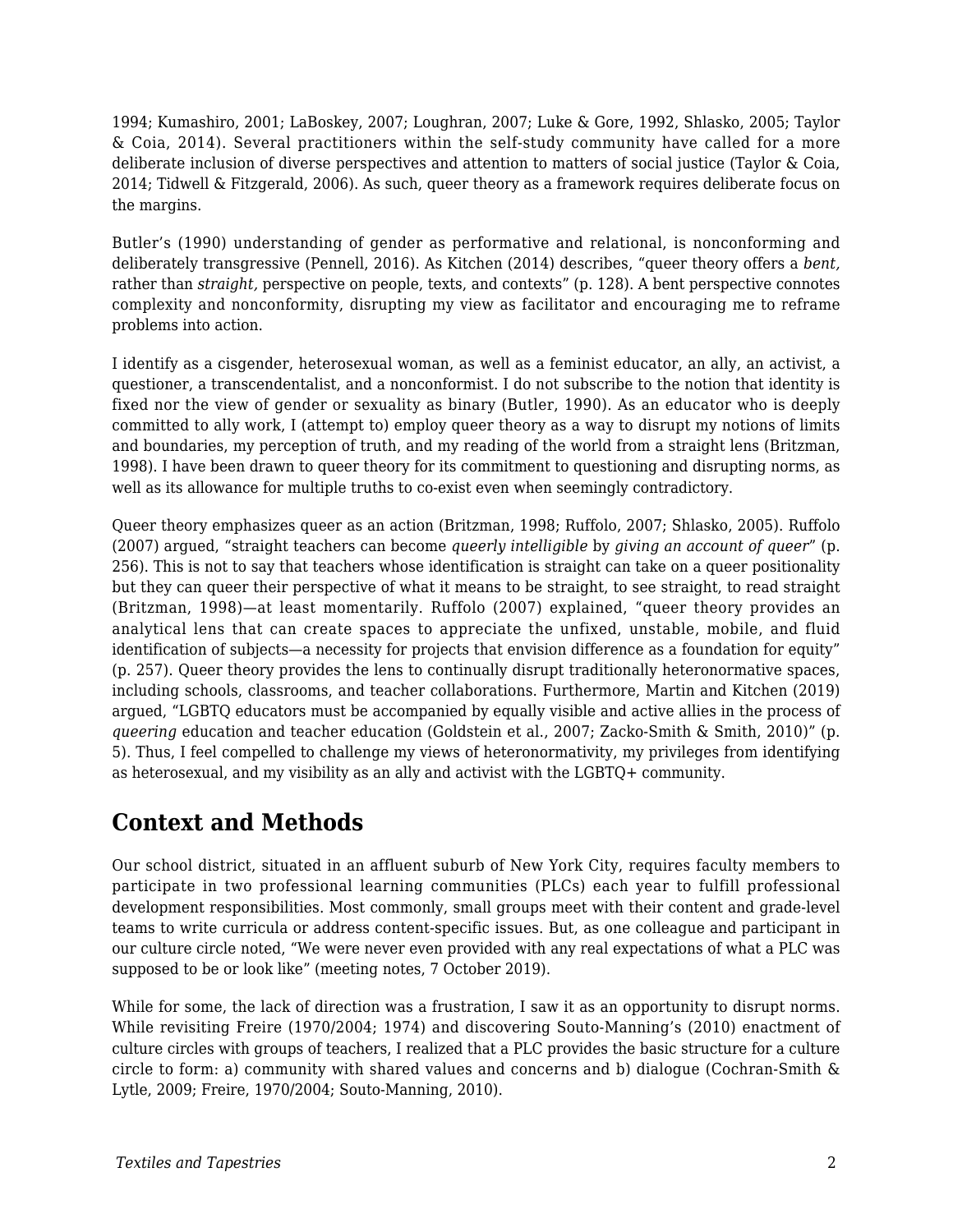1994; Kumashiro, 2001; LaBoskey, 2007; Loughran, 2007; Luke & Gore, 1992, Shlasko, 2005; Taylor & Coia, 2014). Several practitioners within the self-study community have called for a more deliberate inclusion of diverse perspectives and attention to matters of social justice (Taylor & Coia, 2014; Tidwell & Fitzgerald, 2006). As such, queer theory as a framework requires deliberate focus on the margins.

Butler's (1990) understanding of gender as performative and relational, is nonconforming and deliberately transgressive (Pennell, 2016). As Kitchen (2014) describes, "queer theory offers a *bent,* rather than *straight,* perspective on people, texts, and contexts" (p. 128). A bent perspective connotes complexity and nonconformity, disrupting my view as facilitator and encouraging me to reframe problems into action.

I identify as a cisgender, heterosexual woman, as well as a feminist educator, an ally, an activist, a questioner, a transcendentalist, and a nonconformist. I do not subscribe to the notion that identity is fixed nor the view of gender or sexuality as binary (Butler, 1990). As an educator who is deeply committed to ally work, I (attempt to) employ queer theory as a way to disrupt my notions of limits and boundaries, my perception of truth, and my reading of the world from a straight lens (Britzman, 1998). I have been drawn to queer theory for its commitment to questioning and disrupting norms, as well as its allowance for multiple truths to co-exist even when seemingly contradictory.

Queer theory emphasizes queer as an action (Britzman, 1998; Ruffolo, 2007; Shlasko, 2005). Ruffolo (2007) argued, "straight teachers can become *queerly intelligible* by *giving an account of queer*" (p. 256). This is not to say that teachers whose identification is straight can take on a queer positionality but they can queer their perspective of what it means to be straight, to see straight, to read straight (Britzman, 1998)—at least momentarily. Ruffolo (2007) explained, "queer theory provides an analytical lens that can create spaces to appreciate the unfixed, unstable, mobile, and fluid identification of subjects—a necessity for projects that envision difference as a foundation for equity" (p. 257). Queer theory provides the lens to continually disrupt traditionally heteronormative spaces, including schools, classrooms, and teacher collaborations. Furthermore, Martin and Kitchen (2019) argued, "LGBTQ educators must be accompanied by equally visible and active allies in the process of *queering* education and teacher education (Goldstein et al., 2007; Zacko-Smith & Smith, 2010)" (p. 5). Thus, I feel compelled to challenge my views of heteronormativity, my privileges from identifying as heterosexual, and my visibility as an ally and activist with the LGBTQ+ community.

# **Context and Methods**

Our school district, situated in an affluent suburb of New York City, requires faculty members to participate in two professional learning communities (PLCs) each year to fulfill professional development responsibilities. Most commonly, small groups meet with their content and grade-level teams to write curricula or address content-specific issues. But, as one colleague and participant in our culture circle noted, "We were never even provided with any real expectations of what a PLC was supposed to be or look like" (meeting notes, 7 October 2019).

While for some, the lack of direction was a frustration, I saw it as an opportunity to disrupt norms. While revisiting Freire (1970/2004; 1974) and discovering Souto-Manning's (2010) enactment of culture circles with groups of teachers, I realized that a PLC provides the basic structure for a culture circle to form: a) community with shared values and concerns and b) dialogue (Cochran-Smith & Lytle, 2009; Freire, 1970/2004; Souto-Manning, 2010).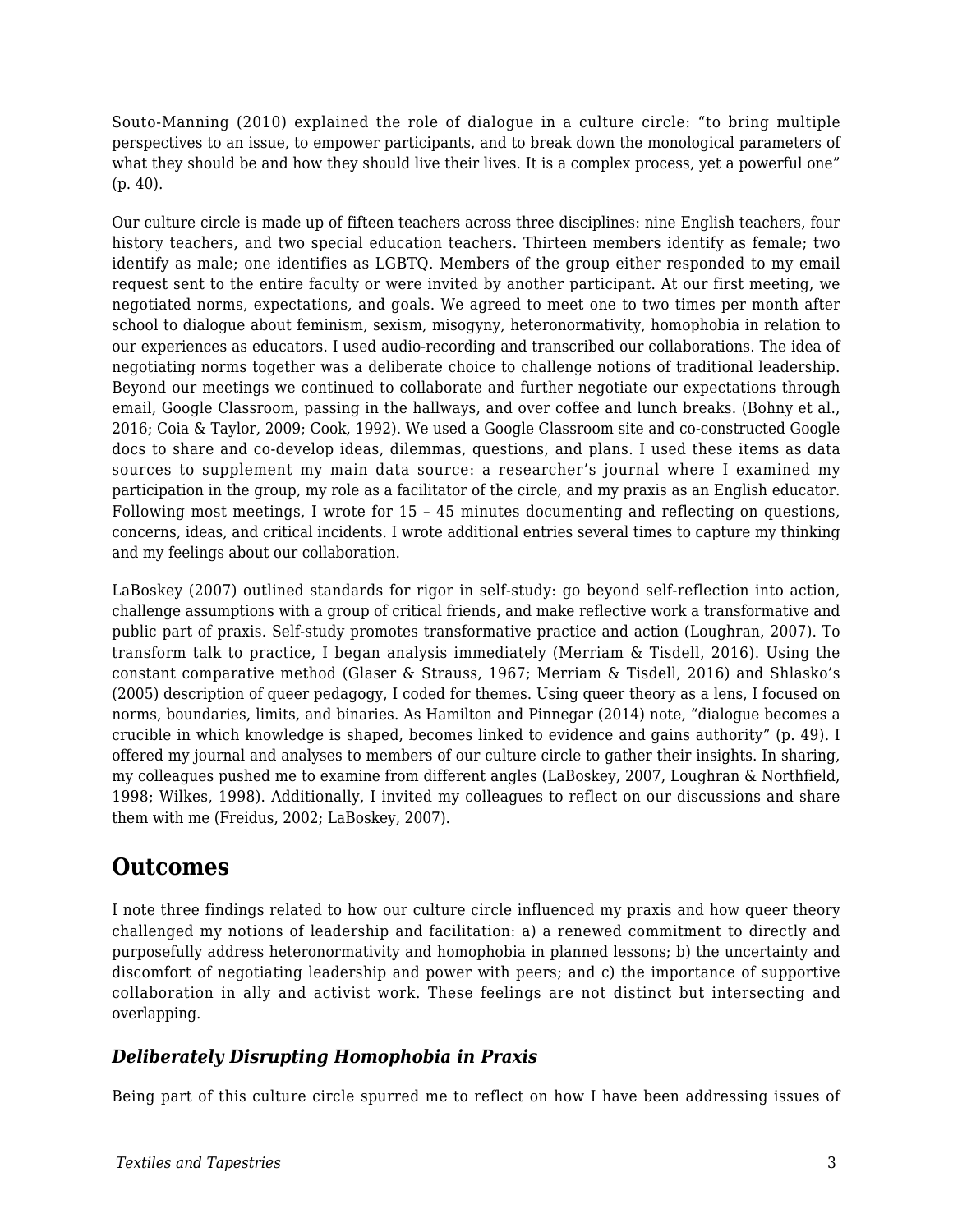Souto-Manning (2010) explained the role of dialogue in a culture circle: "to bring multiple perspectives to an issue, to empower participants, and to break down the monological parameters of what they should be and how they should live their lives. It is a complex process, yet a powerful one" (p. 40).

Our culture circle is made up of fifteen teachers across three disciplines: nine English teachers, four history teachers, and two special education teachers. Thirteen members identify as female; two identify as male; one identifies as LGBTQ. Members of the group either responded to my email request sent to the entire faculty or were invited by another participant. At our first meeting, we negotiated norms, expectations, and goals. We agreed to meet one to two times per month after school to dialogue about feminism, sexism, misogyny, heteronormativity, homophobia in relation to our experiences as educators. I used audio-recording and transcribed our collaborations. The idea of negotiating norms together was a deliberate choice to challenge notions of traditional leadership. Beyond our meetings we continued to collaborate and further negotiate our expectations through email, Google Classroom, passing in the hallways, and over coffee and lunch breaks. (Bohny et al., 2016; Coia & Taylor, 2009; Cook, 1992). We used a Google Classroom site and co-constructed Google docs to share and co-develop ideas, dilemmas, questions, and plans. I used these items as data sources to supplement my main data source: a researcher's journal where I examined my participation in the group, my role as a facilitator of the circle, and my praxis as an English educator. Following most meetings, I wrote for 15 – 45 minutes documenting and reflecting on questions, concerns, ideas, and critical incidents. I wrote additional entries several times to capture my thinking and my feelings about our collaboration.

LaBoskey (2007) outlined standards for rigor in self-study: go beyond self-reflection into action, challenge assumptions with a group of critical friends, and make reflective work a transformative and public part of praxis. Self-study promotes transformative practice and action (Loughran, 2007). To transform talk to practice, I began analysis immediately (Merriam & Tisdell, 2016). Using the constant comparative method (Glaser & Strauss, 1967; Merriam & Tisdell, 2016) and Shlasko's (2005) description of queer pedagogy, I coded for themes. Using queer theory as a lens, I focused on norms, boundaries, limits, and binaries. As Hamilton and Pinnegar (2014) note, "dialogue becomes a crucible in which knowledge is shaped, becomes linked to evidence and gains authority" (p. 49). I offered my journal and analyses to members of our culture circle to gather their insights. In sharing, my colleagues pushed me to examine from different angles (LaBoskey, 2007, Loughran & Northfield, 1998; Wilkes, 1998). Additionally, I invited my colleagues to reflect on our discussions and share them with me (Freidus, 2002; LaBoskey, 2007).

### **Outcomes**

I note three findings related to how our culture circle influenced my praxis and how queer theory challenged my notions of leadership and facilitation: a) a renewed commitment to directly and purposefully address heteronormativity and homophobia in planned lessons; b) the uncertainty and discomfort of negotiating leadership and power with peers; and c) the importance of supportive collaboration in ally and activist work. These feelings are not distinct but intersecting and overlapping.

#### *Deliberately Disrupting Homophobia in Praxis*

Being part of this culture circle spurred me to reflect on how I have been addressing issues of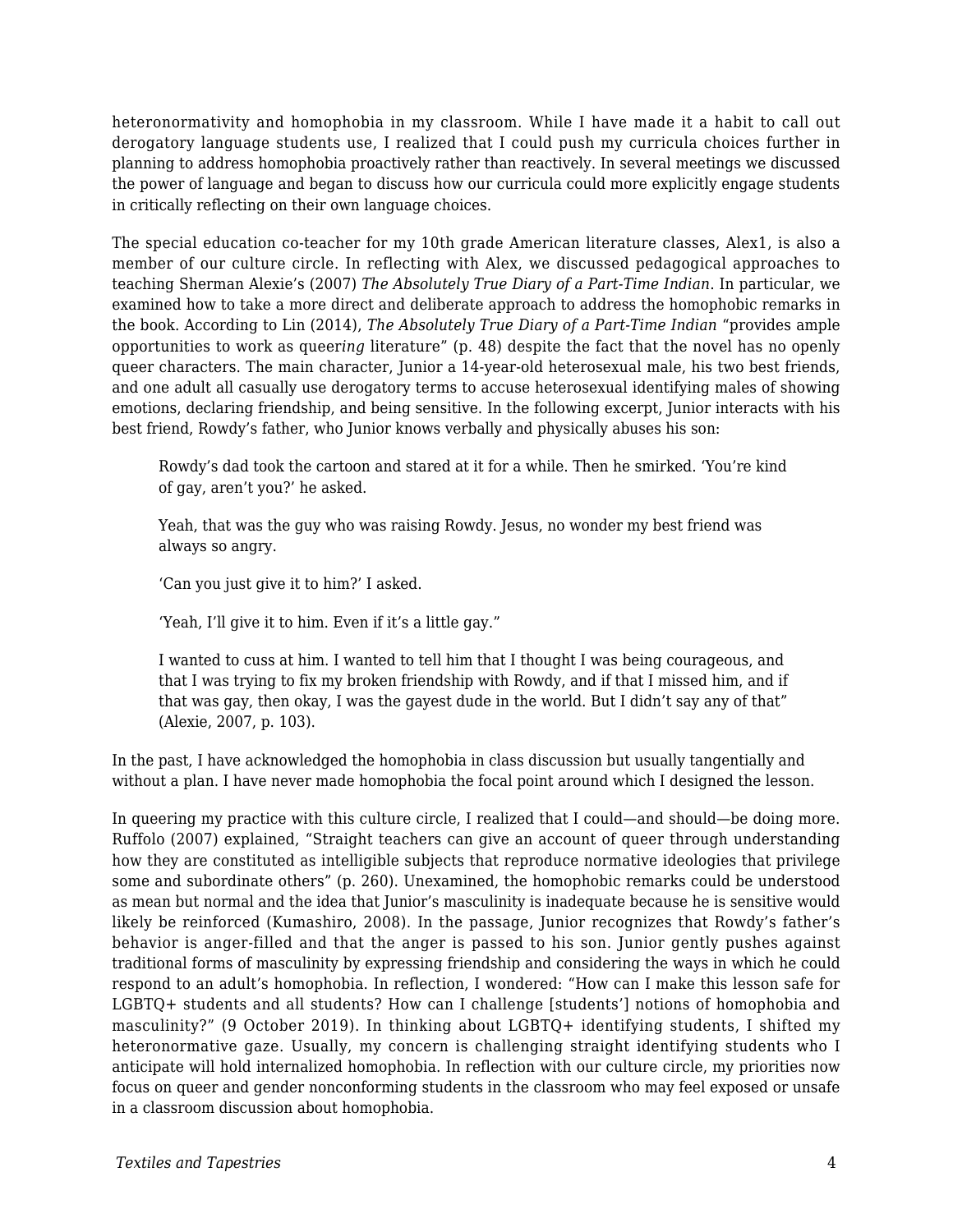heteronormativity and homophobia in my classroom. While I have made it a habit to call out derogatory language students use, I realized that I could push my curricula choices further in planning to address homophobia proactively rather than reactively. In several meetings we discussed the power of language and began to discuss how our curricula could more explicitly engage students in critically reflecting on their own language choices.

The special education co-teacher for my 10th grade American literature classes, Alex1, is also a member of our culture circle. In reflecting with Alex, we discussed pedagogical approaches to teaching Sherman Alexie's (2007) *The Absolutely True Diary of a Part-Time Indian*. In particular, we examined how to take a more direct and deliberate approach to address the homophobic remarks in the book. According to Lin (2014), *The Absolutely True Diary of a Part-Time Indian* "provides ample opportunities to work as queer*ing* literature" (p. 48) despite the fact that the novel has no openly queer characters. The main character, Junior a 14-year-old heterosexual male, his two best friends, and one adult all casually use derogatory terms to accuse heterosexual identifying males of showing emotions, declaring friendship, and being sensitive. In the following excerpt, Junior interacts with his best friend, Rowdy's father, who Junior knows verbally and physically abuses his son:

Rowdy's dad took the cartoon and stared at it for a while. Then he smirked. 'You're kind of gay, aren't you?' he asked.

Yeah, that was the guy who was raising Rowdy. Jesus, no wonder my best friend was always so angry.

'Can you just give it to him?' I asked.

'Yeah, I'll give it to him. Even if it's a little gay."

I wanted to cuss at him. I wanted to tell him that I thought I was being courageous, and that I was trying to fix my broken friendship with Rowdy, and if that I missed him, and if that was gay, then okay, I was the gayest dude in the world. But I didn't say any of that" (Alexie, 2007, p. 103).

In the past, I have acknowledged the homophobia in class discussion but usually tangentially and without a plan. I have never made homophobia the focal point around which I designed the lesson.

In queering my practice with this culture circle, I realized that I could—and should—be doing more. Ruffolo (2007) explained, "Straight teachers can give an account of queer through understanding how they are constituted as intelligible subjects that reproduce normative ideologies that privilege some and subordinate others" (p. 260). Unexamined, the homophobic remarks could be understood as mean but normal and the idea that Junior's masculinity is inadequate because he is sensitive would likely be reinforced (Kumashiro, 2008). In the passage, Junior recognizes that Rowdy's father's behavior is anger-filled and that the anger is passed to his son. Junior gently pushes against traditional forms of masculinity by expressing friendship and considering the ways in which he could respond to an adult's homophobia. In reflection, I wondered: "How can I make this lesson safe for LGBTQ+ students and all students? How can I challenge [students'] notions of homophobia and masculinity?" (9 October 2019). In thinking about LGBTQ+ identifying students, I shifted my heteronormative gaze. Usually, my concern is challenging straight identifying students who I anticipate will hold internalized homophobia. In reflection with our culture circle, my priorities now focus on queer and gender nonconforming students in the classroom who may feel exposed or unsafe in a classroom discussion about homophobia.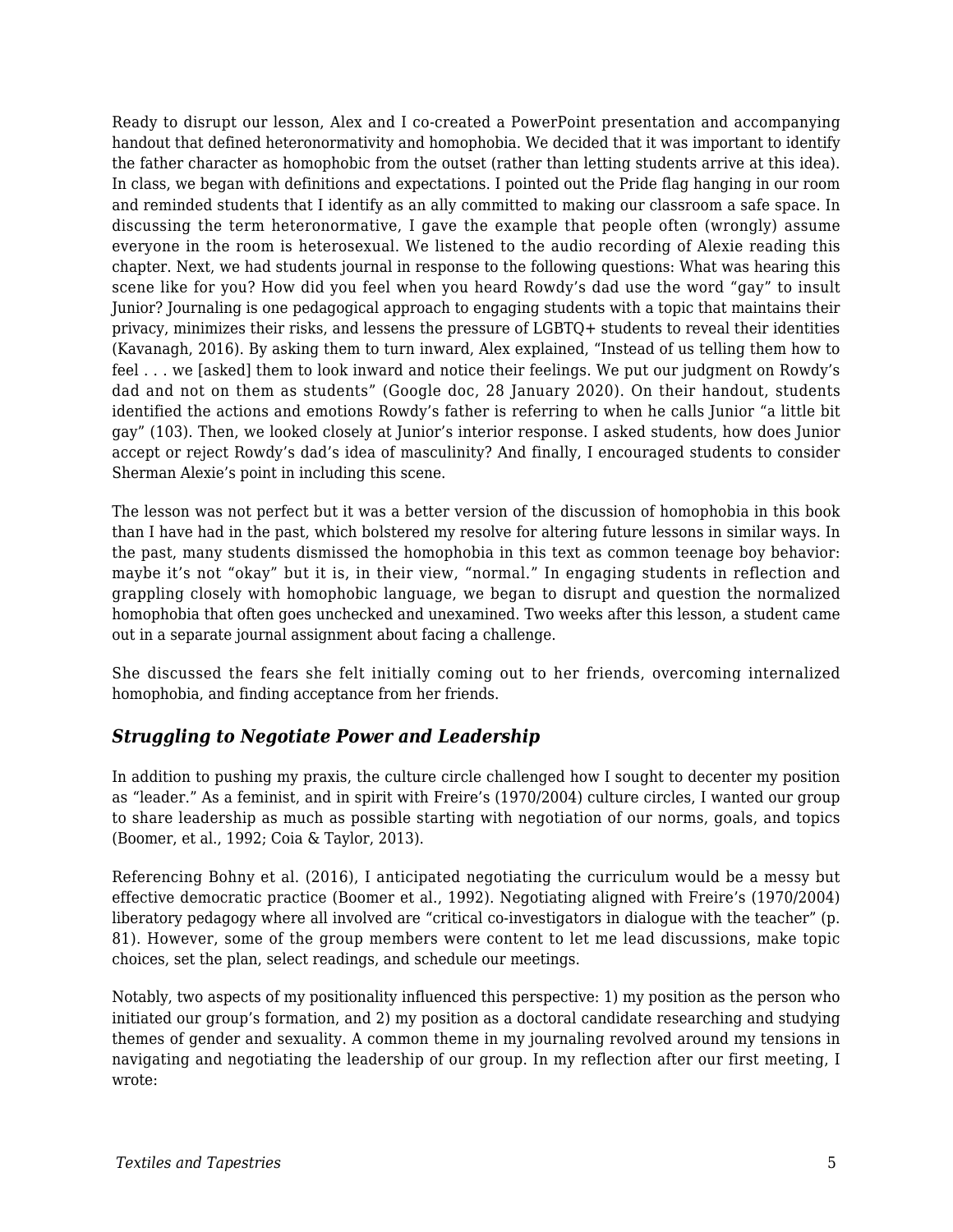Ready to disrupt our lesson, Alex and I co-created a PowerPoint presentation and accompanying handout that defined heteronormativity and homophobia. We decided that it was important to identify the father character as homophobic from the outset (rather than letting students arrive at this idea). In class, we began with definitions and expectations. I pointed out the Pride flag hanging in our room and reminded students that I identify as an ally committed to making our classroom a safe space. In discussing the term heteronormative, I gave the example that people often (wrongly) assume everyone in the room is heterosexual. We listened to the audio recording of Alexie reading this chapter. Next, we had students journal in response to the following questions: What was hearing this scene like for you? How did you feel when you heard Rowdy's dad use the word "gay" to insult Junior? Journaling is one pedagogical approach to engaging students with a topic that maintains their privacy, minimizes their risks, and lessens the pressure of LGBTQ+ students to reveal their identities (Kavanagh, 2016). By asking them to turn inward, Alex explained, "Instead of us telling them how to feel . . . we [asked] them to look inward and notice their feelings. We put our judgment on Rowdy's dad and not on them as students" (Google doc, 28 January 2020). On their handout, students identified the actions and emotions Rowdy's father is referring to when he calls Junior "a little bit gay" (103). Then, we looked closely at Junior's interior response. I asked students, how does Junior accept or reject Rowdy's dad's idea of masculinity? And finally, I encouraged students to consider Sherman Alexie's point in including this scene.

The lesson was not perfect but it was a better version of the discussion of homophobia in this book than I have had in the past, which bolstered my resolve for altering future lessons in similar ways. In the past, many students dismissed the homophobia in this text as common teenage boy behavior: maybe it's not "okay" but it is, in their view, "normal." In engaging students in reflection and grappling closely with homophobic language, we began to disrupt and question the normalized homophobia that often goes unchecked and unexamined. Two weeks after this lesson, a student came out in a separate journal assignment about facing a challenge.

She discussed the fears she felt initially coming out to her friends, overcoming internalized homophobia, and finding acceptance from her friends.

#### *Struggling to Negotiate Power and Leadership*

In addition to pushing my praxis, the culture circle challenged how I sought to decenter my position as "leader." As a feminist, and in spirit with Freire's (1970/2004) culture circles, I wanted our group to share leadership as much as possible starting with negotiation of our norms, goals, and topics (Boomer, et al., 1992; Coia & Taylor, 2013).

Referencing Bohny et al. (2016), I anticipated negotiating the curriculum would be a messy but effective democratic practice (Boomer et al., 1992). Negotiating aligned with Freire's (1970/2004) liberatory pedagogy where all involved are "critical co-investigators in dialogue with the teacher" (p. 81). However, some of the group members were content to let me lead discussions, make topic choices, set the plan, select readings, and schedule our meetings.

Notably, two aspects of my positionality influenced this perspective: 1) my position as the person who initiated our group's formation, and 2) my position as a doctoral candidate researching and studying themes of gender and sexuality. A common theme in my journaling revolved around my tensions in navigating and negotiating the leadership of our group. In my reflection after our first meeting, I wrote: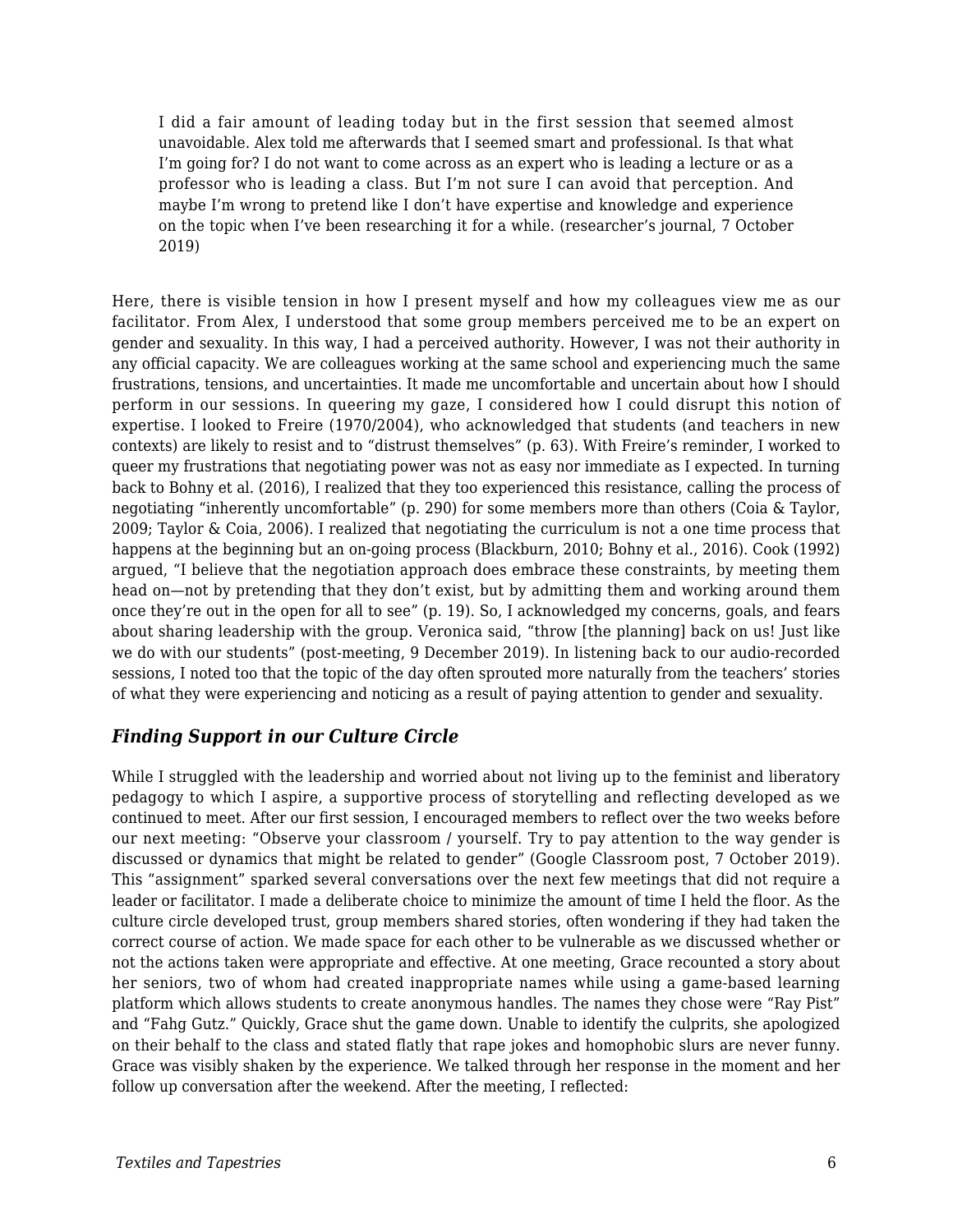I did a fair amount of leading today but in the first session that seemed almost unavoidable. Alex told me afterwards that I seemed smart and professional. Is that what I'm going for? I do not want to come across as an expert who is leading a lecture or as a professor who is leading a class. But I'm not sure I can avoid that perception. And maybe I'm wrong to pretend like I don't have expertise and knowledge and experience on the topic when I've been researching it for a while. (researcher's journal, 7 October 2019)

Here, there is visible tension in how I present myself and how my colleagues view me as our facilitator. From Alex, I understood that some group members perceived me to be an expert on gender and sexuality. In this way, I had a perceived authority. However, I was not their authority in any official capacity. We are colleagues working at the same school and experiencing much the same frustrations, tensions, and uncertainties. It made me uncomfortable and uncertain about how I should perform in our sessions. In queering my gaze, I considered how I could disrupt this notion of expertise. I looked to Freire (1970/2004), who acknowledged that students (and teachers in new contexts) are likely to resist and to "distrust themselves" (p. 63). With Freire's reminder, I worked to queer my frustrations that negotiating power was not as easy nor immediate as I expected. In turning back to Bohny et al. (2016), I realized that they too experienced this resistance, calling the process of negotiating "inherently uncomfortable" (p. 290) for some members more than others (Coia & Taylor, 2009; Taylor & Coia, 2006). I realized that negotiating the curriculum is not a one time process that happens at the beginning but an on-going process (Blackburn, 2010; Bohny et al., 2016). Cook (1992) argued, "I believe that the negotiation approach does embrace these constraints, by meeting them head on—not by pretending that they don't exist, but by admitting them and working around them once they're out in the open for all to see" (p. 19). So, I acknowledged my concerns, goals, and fears about sharing leadership with the group. Veronica said, "throw [the planning] back on us! Just like we do with our students" (post-meeting, 9 December 2019). In listening back to our audio-recorded sessions, I noted too that the topic of the day often sprouted more naturally from the teachers' stories of what they were experiencing and noticing as a result of paying attention to gender and sexuality.

#### *Finding Support in our Culture Circle*

While I struggled with the leadership and worried about not living up to the feminist and liberatory pedagogy to which I aspire, a supportive process of storytelling and reflecting developed as we continued to meet. After our first session, I encouraged members to reflect over the two weeks before our next meeting: "Observe your classroom / yourself. Try to pay attention to the way gender is discussed or dynamics that might be related to gender" (Google Classroom post, 7 October 2019). This "assignment" sparked several conversations over the next few meetings that did not require a leader or facilitator. I made a deliberate choice to minimize the amount of time I held the floor. As the culture circle developed trust, group members shared stories, often wondering if they had taken the correct course of action. We made space for each other to be vulnerable as we discussed whether or not the actions taken were appropriate and effective. At one meeting, Grace recounted a story about her seniors, two of whom had created inappropriate names while using a game-based learning platform which allows students to create anonymous handles. The names they chose were "Ray Pist" and "Fahg Gutz." Quickly, Grace shut the game down. Unable to identify the culprits, she apologized on their behalf to the class and stated flatly that rape jokes and homophobic slurs are never funny. Grace was visibly shaken by the experience. We talked through her response in the moment and her follow up conversation after the weekend. After the meeting, I reflected: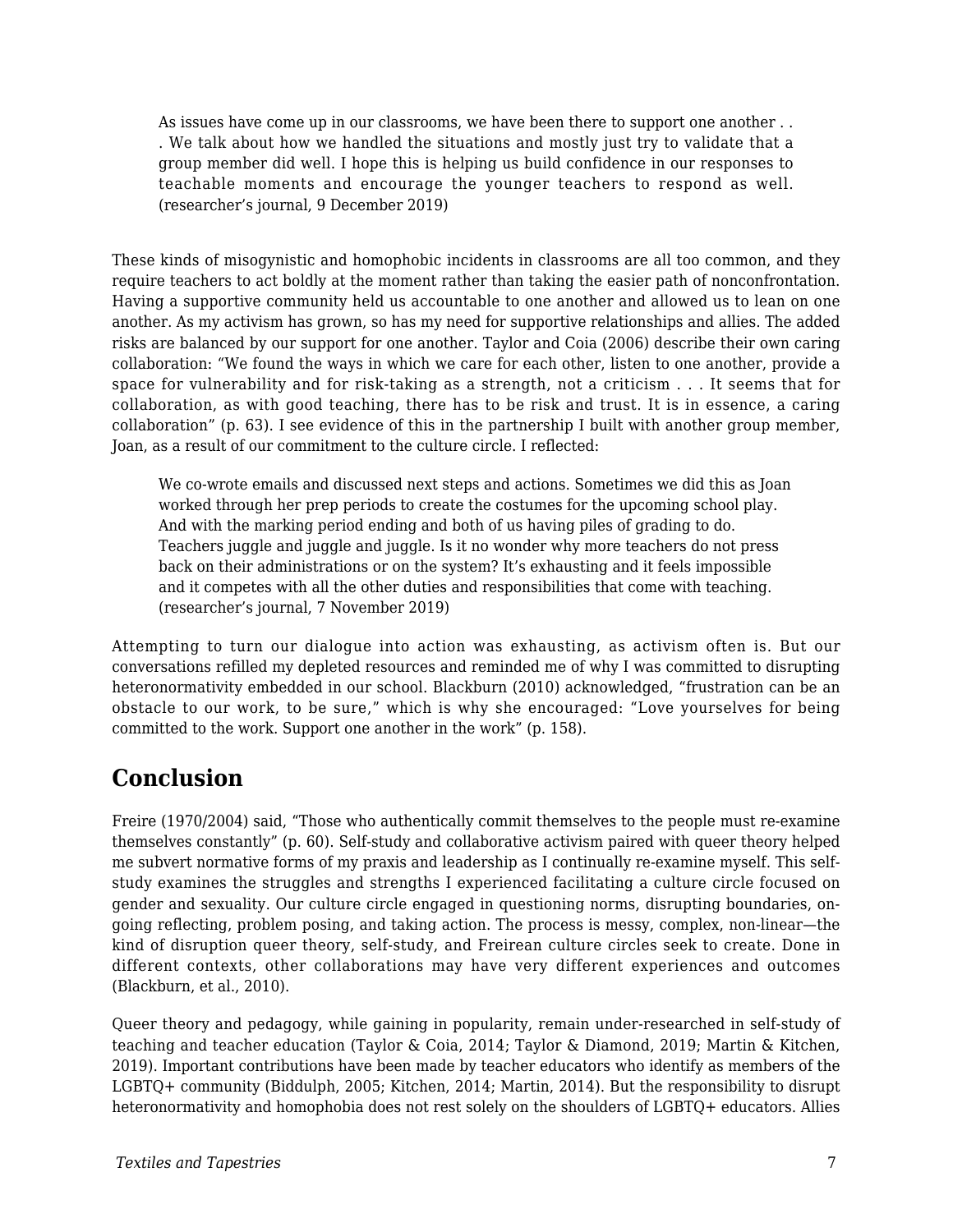As issues have come up in our classrooms, we have been there to support one another . . . We talk about how we handled the situations and mostly just try to validate that a group member did well. I hope this is helping us build confidence in our responses to teachable moments and encourage the younger teachers to respond as well. (researcher's journal, 9 December 2019)

These kinds of misogynistic and homophobic incidents in classrooms are all too common, and they require teachers to act boldly at the moment rather than taking the easier path of nonconfrontation. Having a supportive community held us accountable to one another and allowed us to lean on one another. As my activism has grown, so has my need for supportive relationships and allies. The added risks are balanced by our support for one another. Taylor and Coia (2006) describe their own caring collaboration: "We found the ways in which we care for each other, listen to one another, provide a space for vulnerability and for risk-taking as a strength, not a criticism . . . It seems that for collaboration, as with good teaching, there has to be risk and trust. It is in essence, a caring collaboration" (p. 63). I see evidence of this in the partnership I built with another group member, Joan, as a result of our commitment to the culture circle. I reflected:

We co-wrote emails and discussed next steps and actions. Sometimes we did this as Joan worked through her prep periods to create the costumes for the upcoming school play. And with the marking period ending and both of us having piles of grading to do. Teachers juggle and juggle and juggle. Is it no wonder why more teachers do not press back on their administrations or on the system? It's exhausting and it feels impossible and it competes with all the other duties and responsibilities that come with teaching. (researcher's journal, 7 November 2019)

Attempting to turn our dialogue into action was exhausting, as activism often is. But our conversations refilled my depleted resources and reminded me of why I was committed to disrupting heteronormativity embedded in our school. Blackburn (2010) acknowledged, "frustration can be an obstacle to our work, to be sure," which is why she encouraged: "Love yourselves for being committed to the work. Support one another in the work" (p. 158).

# **Conclusion**

Freire (1970/2004) said, "Those who authentically commit themselves to the people must re-examine themselves constantly" (p. 60). Self-study and collaborative activism paired with queer theory helped me subvert normative forms of my praxis and leadership as I continually re-examine myself. This selfstudy examines the struggles and strengths I experienced facilitating a culture circle focused on gender and sexuality. Our culture circle engaged in questioning norms, disrupting boundaries, ongoing reflecting, problem posing, and taking action. The process is messy, complex, non-linear—the kind of disruption queer theory, self-study, and Freirean culture circles seek to create. Done in different contexts, other collaborations may have very different experiences and outcomes (Blackburn, et al., 2010).

Queer theory and pedagogy, while gaining in popularity, remain under-researched in self-study of teaching and teacher education (Taylor & Coia, 2014; Taylor & Diamond, 2019; Martin & Kitchen, 2019). Important contributions have been made by teacher educators who identify as members of the LGBTQ+ community (Biddulph, 2005; Kitchen, 2014; Martin, 2014). But the responsibility to disrupt heteronormativity and homophobia does not rest solely on the shoulders of LGBTQ+ educators. Allies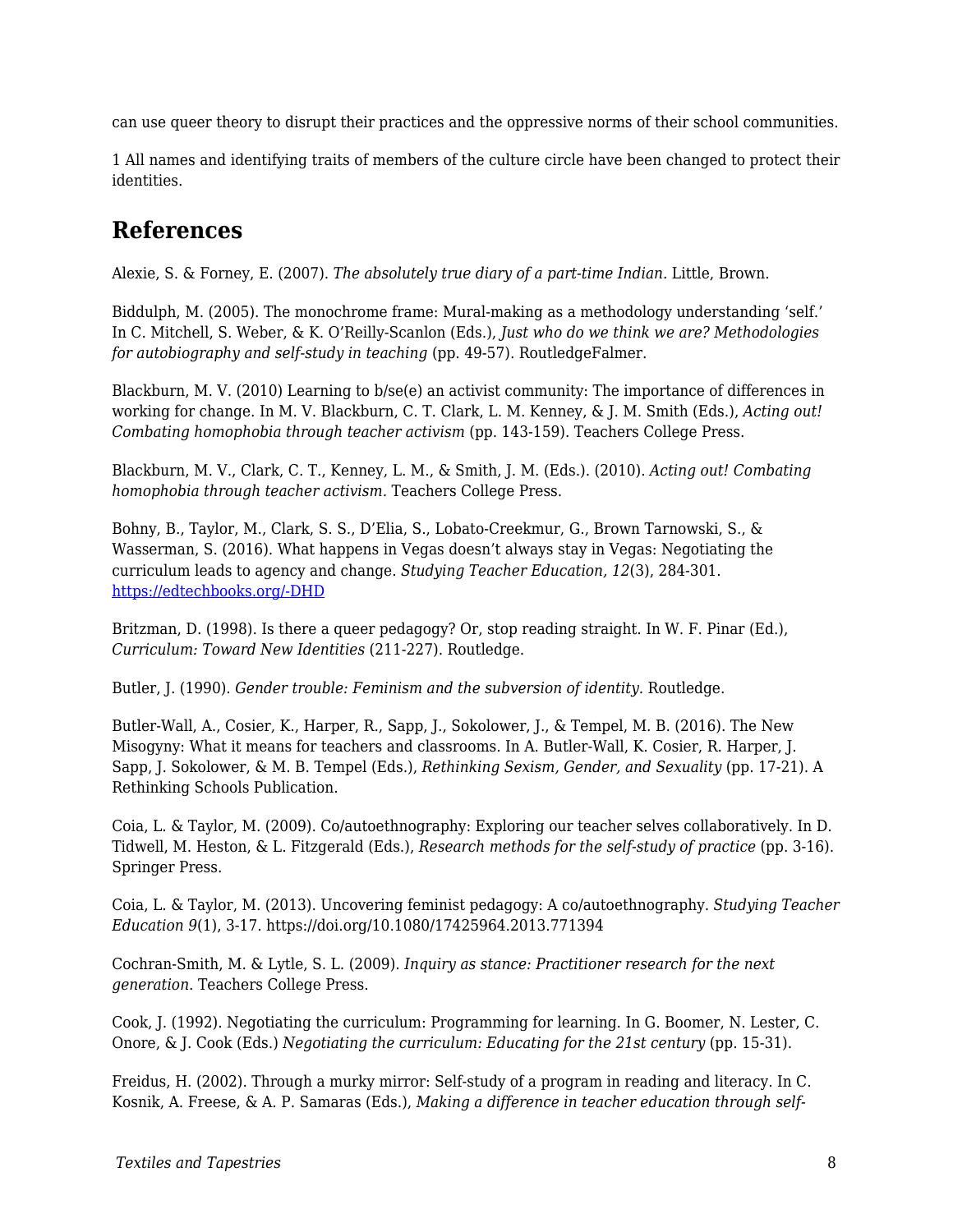can use queer theory to disrupt their practices and the oppressive norms of their school communities.

1 All names and identifying traits of members of the culture circle have been changed to protect their identities.

### **References**

Alexie, S. & Forney, E. (2007). *The absolutely true diary of a part-time Indian.* Little, Brown.

Biddulph, M. (2005). The monochrome frame: Mural-making as a methodology understanding 'self.' In C. Mitchell, S. Weber, & K. O'Reilly-Scanlon (Eds.), *Just who do we think we are? Methodologies for autobiography and self-study in teaching* (pp. 49-57). RoutledgeFalmer.

Blackburn, M. V. (2010) Learning to b/se(e) an activist community: The importance of differences in working for change. In M. V. Blackburn, C. T. Clark, L. M. Kenney, & J. M. Smith (Eds.), *Acting out! Combating homophobia through teacher activism* (pp. 143-159)*.* Teachers College Press.

Blackburn, M. V., Clark, C. T., Kenney, L. M., & Smith, J. M. (Eds.). (2010). *Acting out! Combating homophobia through teacher activism.* Teachers College Press.

Bohny, B., Taylor, M., Clark, S. S., D'Elia, S., Lobato-Creekmur, G., Brown Tarnowski, S., & Wasserman, S. (2016). What happens in Vegas doesn't always stay in Vegas: Negotiating the curriculum leads to agency and change. *Studying Teacher Education, 12*(3), 284-301. [https://edtechbooks.org/-DHD](http://dx.doi.org/10.1080/17425964.2016.1237352)

Britzman, D. (1998). Is there a queer pedagogy? Or, stop reading straight. In W. F. Pinar (Ed.), *Curriculum: Toward New Identities* (211-227). Routledge.

Butler, J. (1990). *Gender trouble: Feminism and the subversion of identity.* Routledge.

Butler-Wall, A., Cosier, K., Harper, R., Sapp, J., Sokolower, J., & Tempel, M. B. (2016). The New Misogyny: What it means for teachers and classrooms. In A. Butler-Wall, K. Cosier, R. Harper, J. Sapp, J. Sokolower, & M. B. Tempel (Eds.), *Rethinking Sexism, Gender, and Sexuality* (pp. 17-21). A Rethinking Schools Publication.

Coia, L. & Taylor, M. (2009). Co/autoethnography: Exploring our teacher selves collaboratively. In D. Tidwell, M. Heston, & L. Fitzgerald (Eds.), *Research methods for the self-study of practice* (pp. 3-16). Springer Press.

Coia, L. & Taylor, M. (2013). Uncovering feminist pedagogy: A co/autoethnography. *Studying Teacher Education 9*(1), 3-17. https://doi.org/10.1080/17425964.2013.771394

Cochran-Smith, M. & Lytle, S. L. (2009). *Inquiry as stance: Practitioner research for the next generation*. Teachers College Press.

Cook, J. (1992). Negotiating the curriculum: Programming for learning. In G. Boomer, N. Lester, C. Onore, & J. Cook (Eds.) *Negotiating the curriculum: Educating for the 21st century* (pp. 15-31).

Freidus, H. (2002). Through a murky mirror: Self-study of a program in reading and literacy. In C. Kosnik, A. Freese, & A. P. Samaras (Eds.), *Making a difference in teacher education through self-*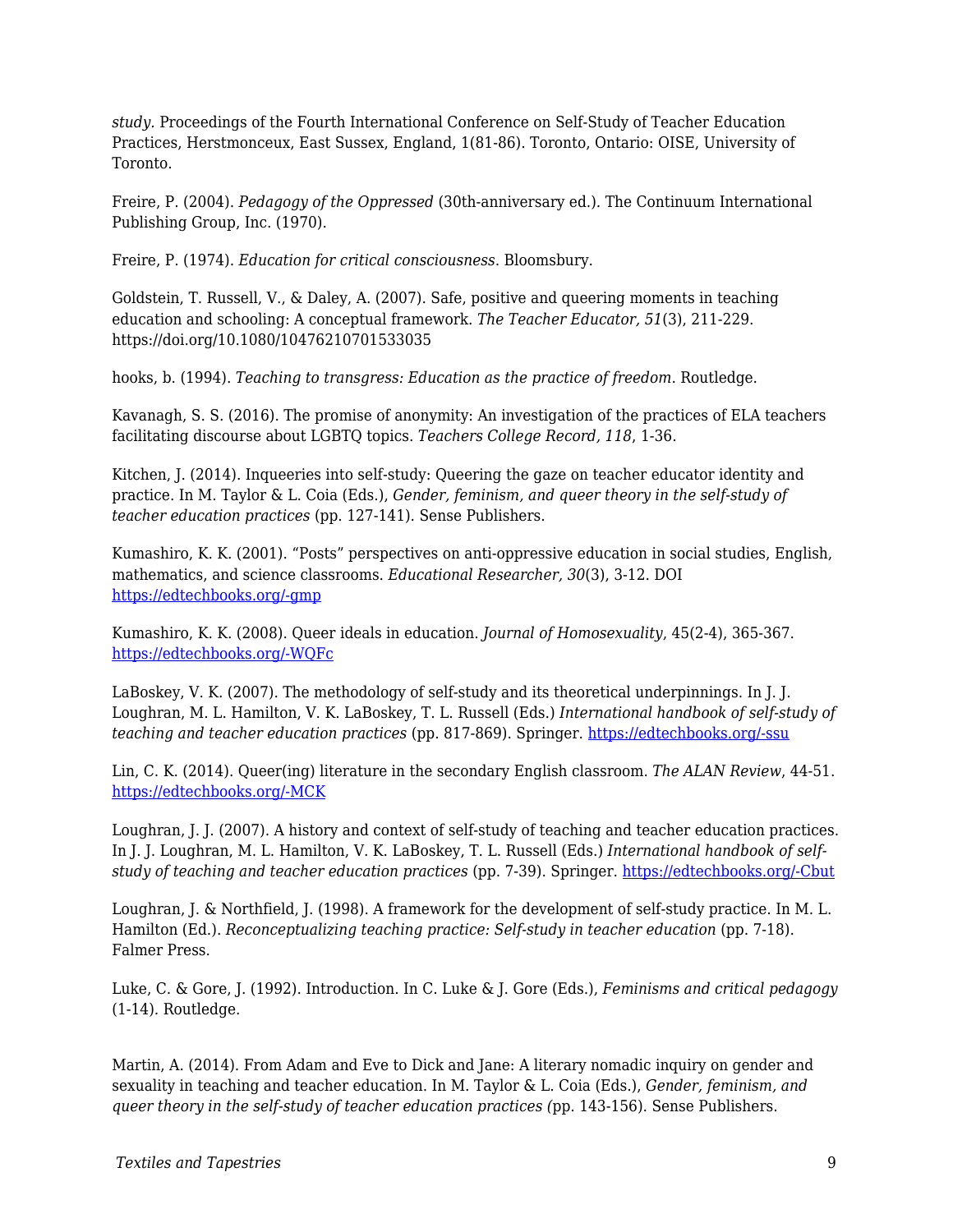*study.* Proceedings of the Fourth International Conference on Self-Study of Teacher Education Practices, Herstmonceux, East Sussex, England, 1(81-86). Toronto, Ontario: OISE, University of Toronto.

Freire, P. (2004). *Pedagogy of the Oppressed* (30th-anniversary ed.)*.* The Continuum International Publishing Group, Inc. (1970).

Freire, P. (1974). *Education for critical consciousness*. Bloomsbury.

Goldstein, T. Russell, V., & Daley, A. (2007). Safe, positive and queering moments in teaching education and schooling: A conceptual framework. *The Teacher Educator, 51*(3), 211-229. https://doi.org/10.1080/10476210701533035

hooks, b. (1994). *Teaching to transgress: Education as the practice of freedom*. Routledge.

Kavanagh, S. S. (2016). The promise of anonymity: An investigation of the practices of ELA teachers facilitating discourse about LGBTQ topics. *Teachers College Record, 118*, 1-36.

Kitchen, J. (2014). Inqueeries into self-study: Queering the gaze on teacher educator identity and practice. In M. Taylor & L. Coia (Eds.), *Gender, feminism, and queer theory in the self-study of teacher education practices* (pp. 127-141). Sense Publishers.

Kumashiro, K. K. (2001). "Posts" perspectives on anti-oppressive education in social studies, English, mathematics, and science classrooms. *Educational Researcher, 30*(3), 3-12. DOI [https://edtechbooks.org/-gmp](https://doi.org/10.3102/0013189X030003003)

Kumashiro, K. K. (2008). Queer ideals in education. *Journal of Homosexuality*, 45(2-4), 365-367. [https://edtechbooks.org/-WQFc](https://doi.org/10.1300/J082v45n02_23)

LaBoskey, V. K. (2007). The methodology of self-study and its theoretical underpinnings. In J. J. Loughran, M. L. Hamilton, V. K. LaBoskey, T. L. Russell (Eds.) *International handbook of self-study of teaching and teacher education practices* (pp. 817-869). Springer. [https://edtechbooks.org/-ssu](https://doi.org/10.1007/978-1-4020-6545-)

Lin, C. K. (2014). Queer(ing) literature in the secondary English classroom. *The ALAN Review*, 44-51. [https://edtechbooks.org/-MCK](https://doi.org/10.21061/alan.v42i1.a.5)

Loughran, J. J. (2007). A history and context of self-study of teaching and teacher education practices. In J. J. Loughran, M. L. Hamilton, V. K. LaBoskey, T. L. Russell (Eds.) *International handbook of selfstudy of teaching and teacher education practices* (pp. 7-39). Springer. [https://edtechbooks.org/-Cbut](https://doi.org/10.1007/978-1-4020-6545-3)

Loughran, J. & Northfield, J. (1998). A framework for the development of self-study practice. In M. L. Hamilton (Ed.). *Reconceptualizing teaching practice: Self-study in teacher education* (pp. 7-18). Falmer Press.

Luke, C. & Gore, J. (1992). Introduction. In C. Luke & J. Gore (Eds.), *Feminisms and critical pedagogy* (1-14)*.* Routledge.

Martin, A. (2014). From Adam and Eve to Dick and Jane: A literary nomadic inquiry on gender and sexuality in teaching and teacher education. In M. Taylor & L. Coia (Eds.), *Gender, feminism, and queer theory in the self-study of teacher education practices (*pp. 143-156). Sense Publishers.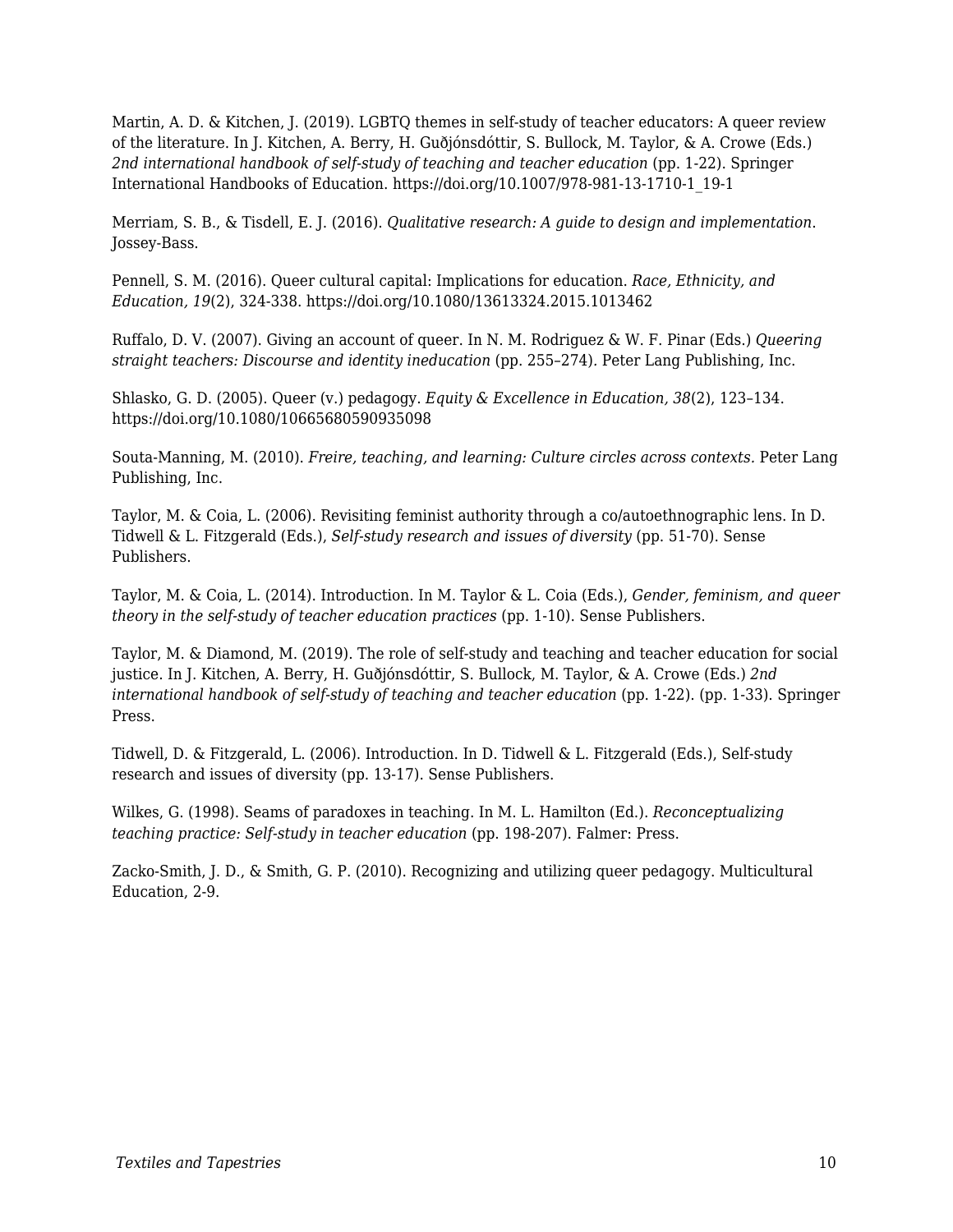Martin, A. D. & Kitchen, J. (2019). LGBTQ themes in self-study of teacher educators: A queer review of the literature. In J. Kitchen, A. Berry, H. Guðjónsdóttir, S. Bullock, M. Taylor, & A. Crowe (Eds.) 2nd international handbook of self-study of teaching and teacher education (pp. 1-22). Springer International Handbooks of Education. https://doi.org/10.1007/978-981-13-1710-1\_19-1

Merriam, S. B., & Tisdell, E. J. (2016). *Qualitative research: A guide to design and implementation*. Jossey-Bass.

Pennell, S. M. (2016). Queer cultural capital: Implications for education. *Race, Ethnicity, and Education, 19*(2), 324-338. https://doi.org/10.1080/13613324.2015.1013462

Ruffalo, D. V. (2007). Giving an account of queer. In N. M. Rodriguez & W. F. Pinar (Eds.) *Queering straight teachers: Discourse and identity ineducation* (pp. 255–274)*.* Peter Lang Publishing, Inc.

Shlasko, G. D. (2005). Queer (v.) pedagogy. *Equity & Excellence in Education, 38*(2), 123–134. https://doi.org/10.1080/10665680590935098

Souta-Manning, M. (2010). *Freire, teaching, and learning: Culture circles across contexts.* Peter Lang Publishing, Inc.

Taylor, M. & Coia, L. (2006). Revisiting feminist authority through a co/autoethnographic lens. In D. Tidwell & L. Fitzgerald (Eds.), *Self-study research and issues of diversity* (pp. 51-70). Sense Publishers.

Taylor, M. & Coia, L. (2014). Introduction. In M. Taylor & L. Coia (Eds.), *Gender, feminism, and queer theory in the self-study of teacher education practices (pp. 1-10). Sense Publishers.* 

Taylor, M. & Diamond, M. (2019). The role of self-study and teaching and teacher education for social justice. In J. Kitchen, A. Berry, H. Guðjónsdóttir, S. Bullock, M. Taylor, & A. Crowe (Eds.) *2nd international handbook of self-study of teaching and teacher education* (pp. 1-22). (pp. 1-33). Springer Press.

Tidwell, D. & Fitzgerald, L. (2006). Introduction. In D. Tidwell & L. Fitzgerald (Eds.), Self-study research and issues of diversity (pp. 13-17). Sense Publishers.

Wilkes, G. (1998). Seams of paradoxes in teaching. In M. L. Hamilton (Ed.). *Reconceptualizing teaching practice: Self-study in teacher education (pp. 198-207). Falmer: Press.* 

Zacko-Smith, J. D., & Smith, G. P. (2010). Recognizing and utilizing queer pedagogy. Multicultural Education, 2-9.